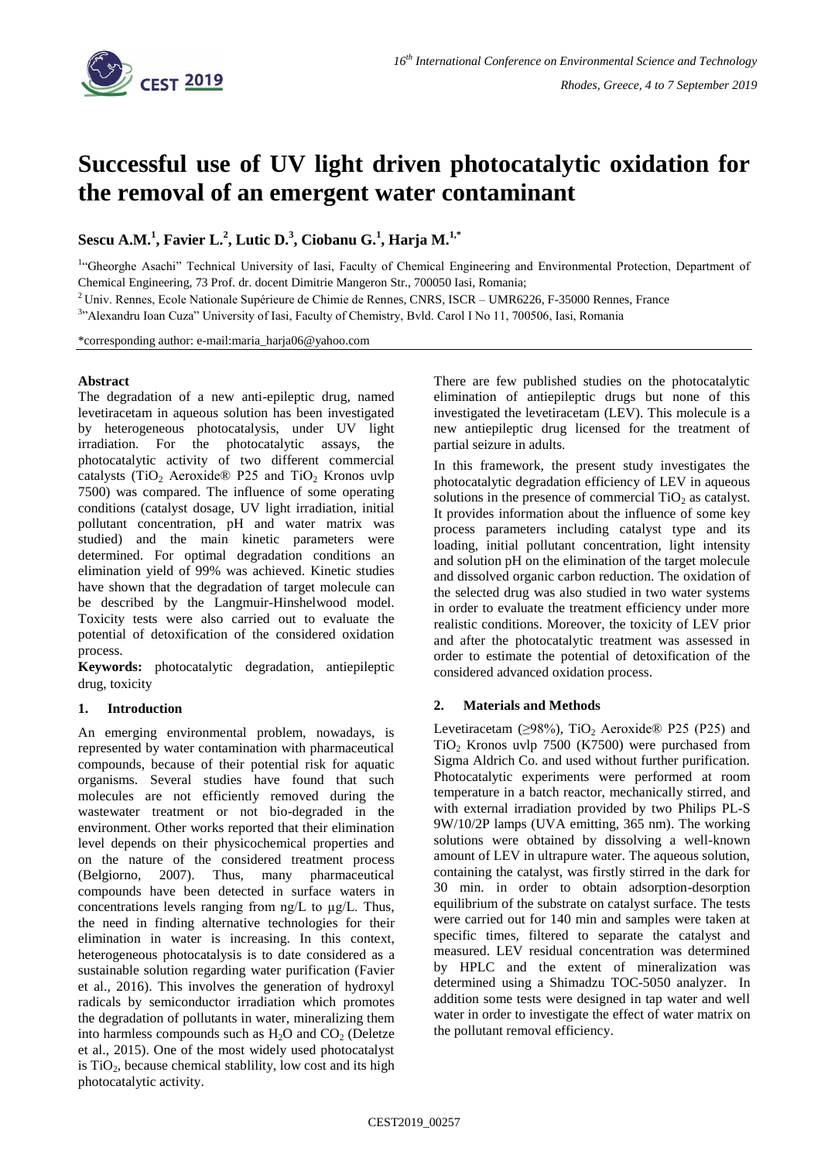

# **Successful use of UV light driven photocatalytic oxidation for the removal of an emergent water contaminant**

**Sescu A.M.<sup>1</sup> , Favier L.<sup>2</sup> , Lutic D.<sup>3</sup> , Ciobanu G.<sup>1</sup> , Harja M.1,\***

<sup>1</sup>"Gheorghe Asachi" Technical University of Iasi, Faculty of Chemical Engineering and Environmental Protection, Department of Chemical Engineering, 73 Prof. dr. docent Dimitrie Mangeron Str., 700050 Iasi, Romania;

<sup>2</sup> Univ. Rennes, Ecole Nationale Supérieure de Chimie de Rennes, CNRS, ISCR – UMR6226, F-35000 Rennes, France

3 "Alexandru Ioan Cuza" University of Iasi, Faculty of Chemistry, Bvld. Carol I No 11, 700506, Iasi, Romania

\*corresponding author: e-mail:maria\_harja06@yahoo.com

### **Abstract**

The degradation of a new anti-epileptic drug, named levetiracetam in aqueous solution has been investigated by heterogeneous photocatalysis, under UV light irradiation. For the photocatalytic assays, the photocatalytic activity of two different commercial catalysts (TiO<sub>2</sub> Aeroxide® P25 and TiO<sub>2</sub> Kronos uvlp 7500) was compared. The influence of some operating conditions (catalyst dosage, UV light irradiation, initial pollutant concentration, pH and water matrix was studied) and the main kinetic parameters were determined. For optimal degradation conditions an elimination yield of 99% was achieved. Kinetic studies have shown that the degradation of target molecule can be described by the Langmuir-Hinshelwood model. Toxicity tests were also carried out to evaluate the potential of detoxification of the considered oxidation process.

**Keywords:** photocatalytic degradation, antiepileptic drug, toxicity

## **1. Introduction**

An emerging environmental problem, nowadays, is represented by water contamination with pharmaceutical compounds, because of their potential risk for aquatic organisms. Several studies have found that such molecules are not efficiently removed during the wastewater treatment or not bio-degraded in the environment. Other works reported that their elimination level depends on their physicochemical properties and on the nature of the considered treatment process (Belgiorno, 2007). Thus, many pharmaceutical compounds have been detected in surface waters in concentrations levels ranging from ng/L to µg/L. Thus, the need in finding alternative technologies for their elimination in water is increasing. In this context, heterogeneous photocatalysis is to date considered as a sustainable solution regarding water purification (Favier et al., 2016). This involves the generation of hydroxyl radicals by semiconductor irradiation which promotes the degradation of pollutants in water, mineralizing them into harmless compounds such as  $H_2O$  and  $CO_2$  (Deletze et al., 2015). One of the most widely used photocatalyst is  $TiO<sub>2</sub>$ , because chemical stablility, low cost and its high photocatalytic activity.

There are few published studies on the photocatalytic elimination of antiepileptic drugs but none of this investigated the levetiracetam (LEV). This molecule is a new antiepileptic drug licensed for the treatment of partial seizure in adults.

In this framework, the present study investigates the photocatalytic degradation efficiency of LEV in aqueous solutions in the presence of commercial  $TiO<sub>2</sub>$  as catalyst. It provides information about the influence of some key process parameters including catalyst type and its loading, initial pollutant concentration, light intensity and solution pH on the elimination of the target molecule and dissolved organic carbon reduction. The oxidation of the selected drug was also studied in two water systems in order to evaluate the treatment efficiency under more realistic conditions. Moreover, the toxicity of LEV prior and after the photocatalytic treatment was assessed in order to estimate the potential of detoxification of the considered advanced oxidation process.

## **2. Materials and Methods**

Levetiracetam ( $\geq$ 98%), TiO<sub>2</sub> Aeroxide® P25 (P25) and  $TiO<sub>2</sub>$  Kronos uvlp 7500 (K7500) were purchased from Sigma Aldrich Co. and used without further purification. Photocatalytic experiments were performed at room temperature in a batch reactor, mechanically stirred, and with external irradiation provided by two Philips PL-S 9W/10/2P lamps (UVA emitting, 365 nm). The working solutions were obtained by dissolving a well-known amount of LEV in ultrapure water. The aqueous solution, containing the catalyst, was firstly stirred in the dark for 30 min. in order to obtain adsorption-desorption equilibrium of the substrate on catalyst surface. The tests were carried out for 140 min and samples were taken at specific times, filtered to separate the catalyst and measured. LEV residual concentration was determined by HPLC and the extent of mineralization was determined using a Shimadzu TOC-5050 analyzer. In addition some tests were designed in tap water and well water in order to investigate the effect of water matrix on the pollutant removal efficiency.